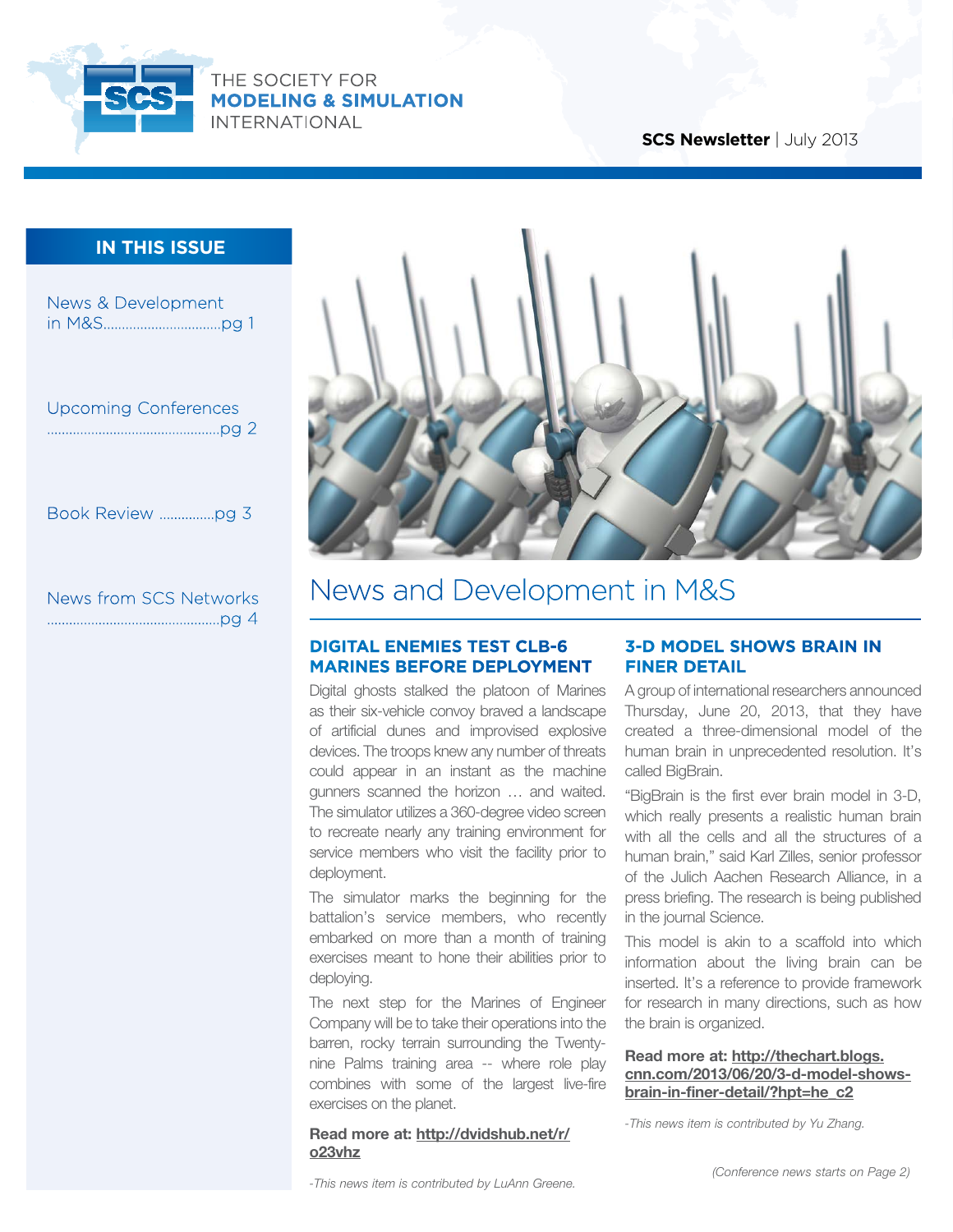

## **SCS Newsletter** | July 2013

## **in this issue**

| <b>News &amp; Development</b> |  |
|-------------------------------|--|
| <b>Upcoming Conferences</b>   |  |
| Book Review pg 3              |  |
| <b>News from SCS Networks</b> |  |



## News and Development in M&S

## **Digital Enemies test CLB-6 Marines before deployment**

Digital ghosts stalked the platoon of Marines as their six-vehicle convoy braved a landscape of artificial dunes and improvised explosive devices. The troops knew any number of threats could appear in an instant as the machine gunners scanned the horizon … and waited. The simulator utilizes a 360-degree video screen to recreate nearly any training environment for service members who visit the facility prior to deployment.

The simulator marks the beginning for the battalion's service members, who recently embarked on more than a month of training exercises meant to hone their abilities prior to deploying.

The next step for the Marines of Engineer Company will be to take their operations into the barren, rocky terrain surrounding the Twentynine Palms training area -- where role play combines with some of the largest live-fire exercises on the planet.

#### **Read more at: [http://dvidshub.net/r/](http://dvidshub.net/r/o23vhz) [o23vhz](http://dvidshub.net/r/o23vhz)**

## **3-D model shows brain in finer detail**

A group of international researchers announced Thursday, June 20, 2013, that they have created a three-dimensional model of the human brain in unprecedented resolution. It's called BigBrain.

"BigBrain is the first ever brain model in 3-D, which really presents a realistic human brain with all the cells and all the structures of a human brain," said Karl Zilles, senior professor of the Julich Aachen Research Alliance, in a press briefing. The research is being published in the journal Science.

This model is akin to a scaffold into which information about the living brain can be inserted. It's a reference to provide framework for research in many directions, such as how the brain is organized.

### **Read more at: [http://thechart.blogs.](http://thechart.blogs.cnn.com/2013/06/20/3-d-model-shows-brain-in-finer-detail/?hpt=he_c2) [cnn.com/2013/06/20/3-d-model-shows](http://thechart.blogs.cnn.com/2013/06/20/3-d-model-shows-brain-in-finer-detail/?hpt=he_c2)[brain-in-finer-detail/?hpt=he\\_c2](http://thechart.blogs.cnn.com/2013/06/20/3-d-model-shows-brain-in-finer-detail/?hpt=he_c2)**

*-This news item is contributed by Yu Zhang.*

*-This news item is contributed by LuAnn Greene.*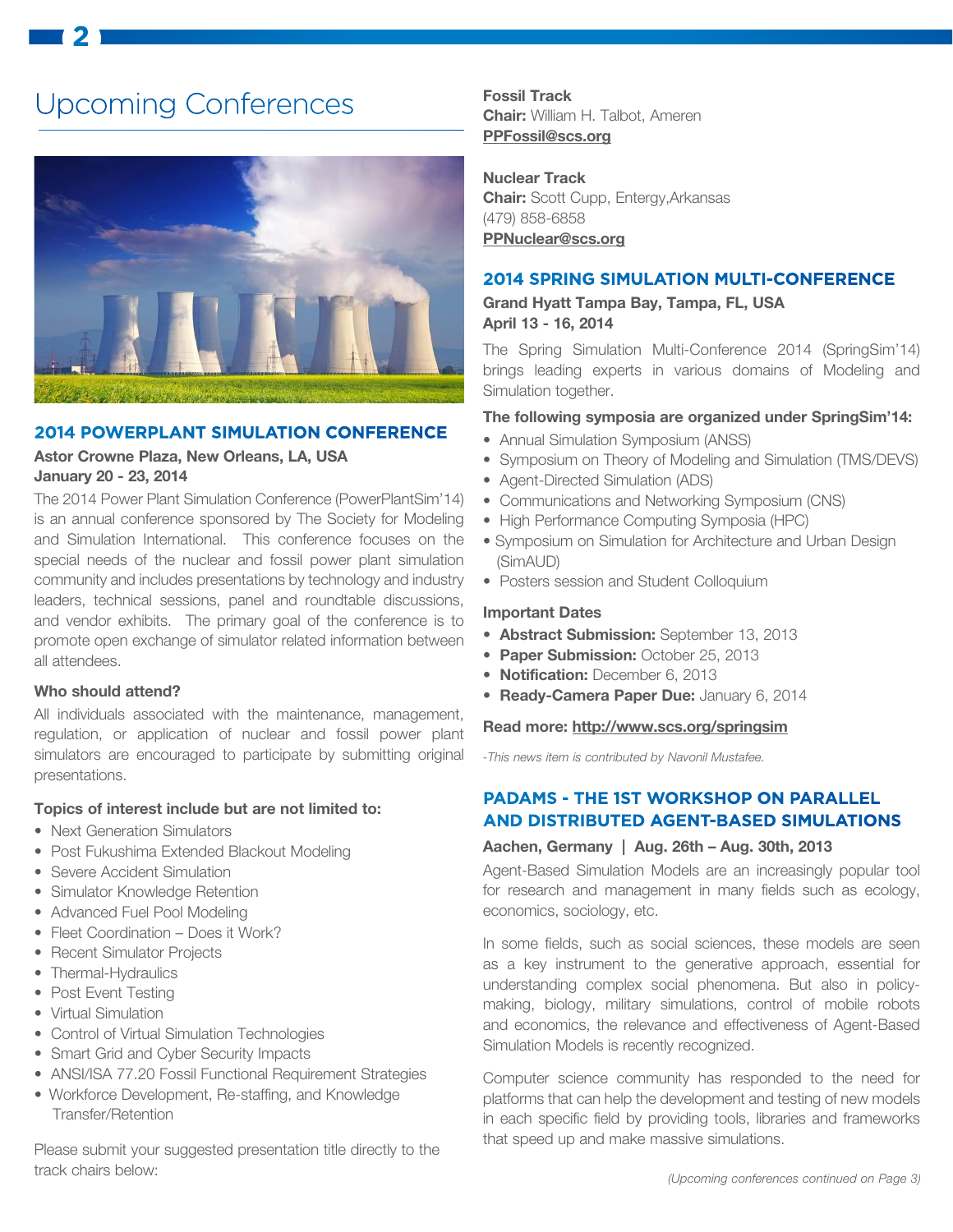# Upcoming Conferences

**2**



#### **2014 Powerplant Simulation Conference**

## **Astor Crowne Plaza, New Orleans, LA, USA January 20 - 23, 2014**

The 2014 Power Plant Simulation Conference (PowerPlantSim'14) is an annual conference sponsored by The Society for Modeling and Simulation International. This conference focuses on the special needs of the nuclear and fossil power plant simulation community and includes presentations by technology and industry leaders, technical sessions, panel and roundtable discussions, and vendor exhibits. The primary goal of the conference is to promote open exchange of simulator related information between all attendees.

### **Who should attend?**

All individuals associated with the maintenance, management, regulation, or application of nuclear and fossil power plant simulators are encouraged to participate by submitting original presentations.

#### **Topics of interest include but are not limited to:**

- Next Generation Simulators
- Post Fukushima Extended Blackout Modeling
- Severe Accident Simulation
- Simulator Knowledge Retention
- Advanced Fuel Pool Modeling
- Fleet Coordination Does it Work?
- Recent Simulator Projects
- Thermal-Hydraulics
- Post Event Testing
- Virtual Simulation
- Control of Virtual Simulation Technologies
- Smart Grid and Cyber Security Impacts
- ANSI/ISA 77.20 Fossil Functional Requirement Strategies
- Workforce Development, Re-staffing, and Knowledge Transfer/Retention

Please submit your suggested presentation title directly to the track chairs below:

**Fossil Track Chair:** William H. Talbot, Ameren **PPFossil@scs.org**

**Nuclear Track Chair:** Scott Cupp, Entergy,Arkansas (479) 858-6858 **PPNuclear@scs.org**

## **2014 Spring Simulation Multi-Conference**

**Grand Hyatt Tampa Bay, Tampa, FL, USA April 13 - 16, 2014** 

The Spring Simulation Multi-Conference 2014 (SpringSim'14) brings leading experts in various domains of Modeling and Simulation together.

## **The following symposia are organized under SpringSim'14:**

- Annual Simulation Symposium (ANSS)
- Symposium on Theory of Modeling and Simulation (TMS/DEVS)
- Agent-Directed Simulation (ADS)
- Communications and Networking Symposium (CNS)
- High Performance Computing Symposia (HPC)
- Symposium on Simulation for Architecture and Urban Design (SimAUD)
- Posters session and Student Colloquium

#### **Important Dates**

- **Abstract Submission:** September 13, 2013
- **Paper Submission:** October 25, 2013
- **Notification:** December 6, 2013
- **Ready-Camera Paper Due:** January 6, 2014

#### **Read more: <http://www.scs.org/springsim>**

*-This news item is contributed by Navonil Mustafee.*

## **PADAMS - the 1st Workshop on Parallel and Distributed Agent-Based Simulations**

## **Aachen, Germany | Aug. 26th – Aug. 30th, 2013**

Agent-Based Simulation Models are an increasingly popular tool for research and management in many fields such as ecology, economics, sociology, etc.

In some fields, such as social sciences, these models are seen as a key instrument to the generative approach, essential for understanding complex social phenomena. But also in policymaking, biology, military simulations, control of mobile robots and economics, the relevance and effectiveness of Agent-Based Simulation Models is recently recognized.

Computer science community has responded to the need for platforms that can help the development and testing of new models in each specific field by providing tools, libraries and frameworks that speed up and make massive simulations.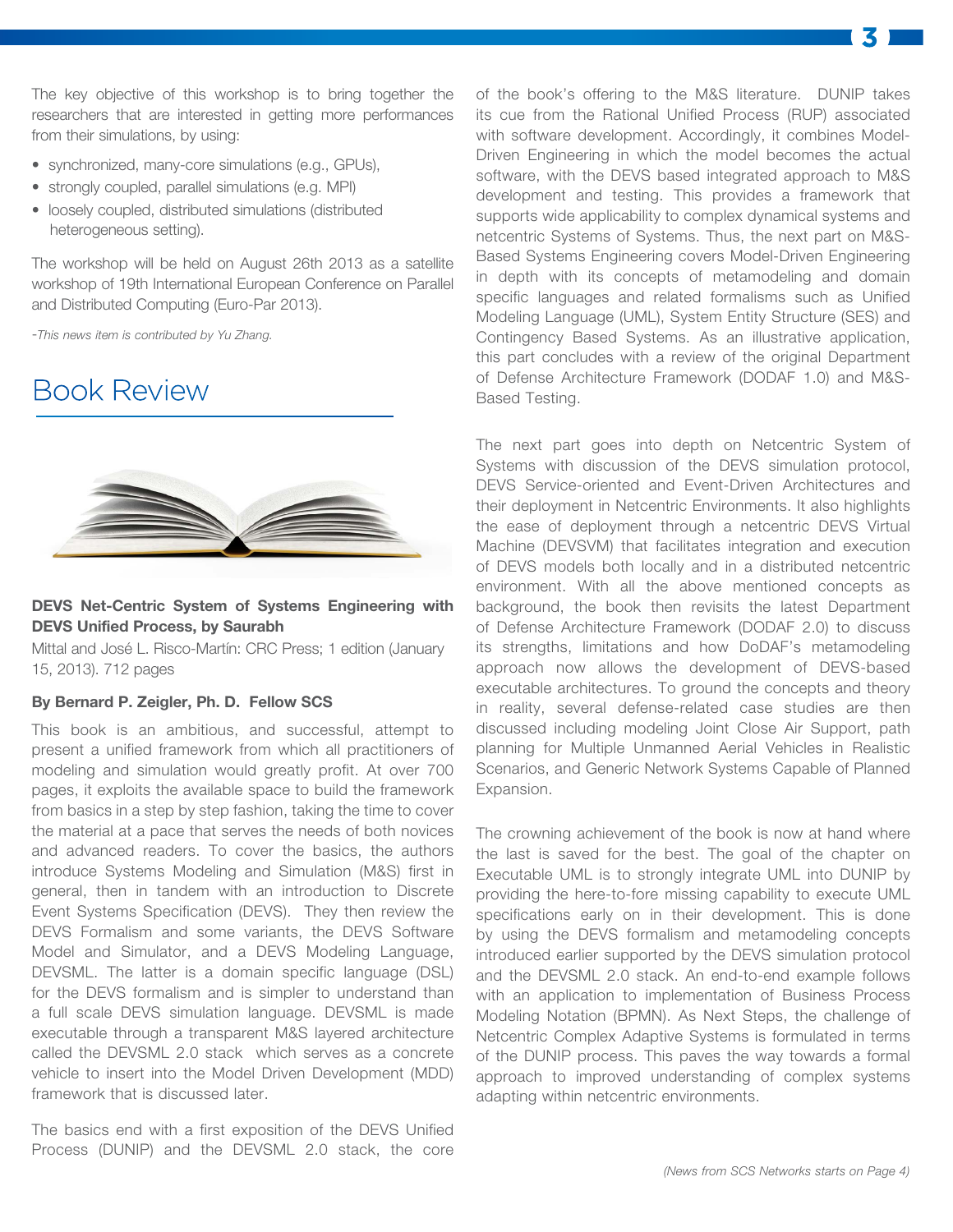The key objective of this workshop is to bring together the researchers that are interested in getting more performances from their simulations, by using:

- synchronized, many-core simulations (e.g., GPUs),
- strongly coupled, parallel simulations (e.g. MPI)
- loosely coupled, distributed simulations (distributed heterogeneous setting).

The workshop will be held on August 26th 2013 as a satellite workshop of 19th International European Conference on Parallel and Distributed Computing (Euro-Par 2013).

-*This news item is contributed by Yu Zhang.*

## Book Review



## **DEVS Net-Centric System of Systems Engineering with DEVS Unified Process, by Saurabh**

Mittal and José L. Risco-Martín: CRC Press; 1 edition (January 15, 2013). 712 pages

#### **By Bernard P. Zeigler, Ph. D. Fellow SCS**

This book is an ambitious, and successful, attempt to present a unified framework from which all practitioners of modeling and simulation would greatly profit. At over 700 pages, it exploits the available space to build the framework from basics in a step by step fashion, taking the time to cover the material at a pace that serves the needs of both novices and advanced readers. To cover the basics, the authors introduce Systems Modeling and Simulation (M&S) first in general, then in tandem with an introduction to Discrete Event Systems Specification (DEVS). They then review the DEVS Formalism and some variants, the DEVS Software Model and Simulator, and a DEVS Modeling Language, DEVSML. The latter is a domain specific language (DSL) for the DEVS formalism and is simpler to understand than a full scale DEVS simulation language. DEVSML is made executable through a transparent M&S layered architecture called the DEVSML 2.0 stack which serves as a concrete vehicle to insert into the Model Driven Development (MDD) framework that is discussed later.

The basics end with a first exposition of the DEVS Unified Process (DUNIP) and the DEVSML 2.0 stack, the core

of the book's offering to the M&S literature. DUNIP takes its cue from the Rational Unified Process (RUP) associated with software development. Accordingly, it combines Model-Driven Engineering in which the model becomes the actual software, with the DEVS based integrated approach to M&S development and testing. This provides a framework that supports wide applicability to complex dynamical systems and netcentric Systems of Systems. Thus, the next part on M&S-Based Systems Engineering covers Model-Driven Engineering in depth with its concepts of metamodeling and domain specific languages and related formalisms such as Unified Modeling Language (UML), System Entity Structure (SES) and Contingency Based Systems. As an illustrative application, this part concludes with a review of the original Department of Defense Architecture Framework (DODAF 1.0) and M&S-Based Testing.

The next part goes into depth on Netcentric System of Systems with discussion of the DEVS simulation protocol, DEVS Service-oriented and Event-Driven Architectures and their deployment in Netcentric Environments. It also highlights the ease of deployment through a netcentric DEVS Virtual Machine (DEVSVM) that facilitates integration and execution of DEVS models both locally and in a distributed netcentric environment. With all the above mentioned concepts as background, the book then revisits the latest Department of Defense Architecture Framework (DODAF 2.0) to discuss its strengths, limitations and how DoDAF's metamodeling approach now allows the development of DEVS-based executable architectures. To ground the concepts and theory in reality, several defense-related case studies are then discussed including modeling Joint Close Air Support, path planning for Multiple Unmanned Aerial Vehicles in Realistic Scenarios, and Generic Network Systems Capable of Planned Expansion.

The crowning achievement of the book is now at hand where the last is saved for the best. The goal of the chapter on Executable UML is to strongly integrate UML into DUNIP by providing the here-to-fore missing capability to execute UML specifications early on in their development. This is done by using the DEVS formalism and metamodeling concepts introduced earlier supported by the DEVS simulation protocol and the DEVSML 2.0 stack. An end-to-end example follows with an application to implementation of Business Process Modeling Notation (BPMN). As Next Steps, the challenge of Netcentric Complex Adaptive Systems is formulated in terms of the DUNIP process. This paves the way towards a formal approach to improved understanding of complex systems adapting within netcentric environments.